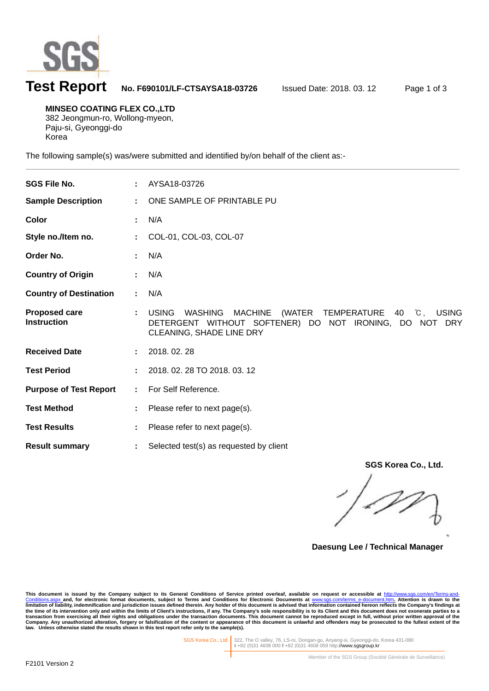

# **Test Report No. F690101/LF-CTSAYSA18-03726** Issued Date: 2018. 03. 12 Page 1 of 3

**MINSEO COATING FLEX CO.,LTD**  382 Jeongmun-ro, Wollong-myeon, Paju-si, Gyeonggi-do

Korea

l

The following sample(s) was/were submitted and identified by/on behalf of the client as:-

| (WATER TEMPERATURE 40 °C, USING<br>DETERGENT WITHOUT SOFTENER) DO NOT IRONING, DO NOT DRY |
|-------------------------------------------------------------------------------------------|
|                                                                                           |
|                                                                                           |
|                                                                                           |
|                                                                                           |
|                                                                                           |
|                                                                                           |
|                                                                                           |

**SGS Korea Co., Ltd.** 

**Daesung Lee / Technical Manager** 

This document is issued by the Company subject to its General Conditions of Service printed overleaf, available on request or accessible at <u>http://www.sgs.com/en/Terms-and-</u><br><u>Conditions.aspx a</u>nd, for electronic format do limitation of liability, indemnification and jurisdiction issues defined therein. Any holder of this document is advised that information contained hereon reflects the Company's findings at<br>the time of its intervention onl

SGS Korea Co., Ltd. 322, The O valley, 76, LS-ro, Dongan-gu, Anyang-si, Gyeonggi-do, Korea 431-080 **t** +82 (0)31 4608 000 **f** +82 (0)31 4608 059 http://www.sgsgroup.kr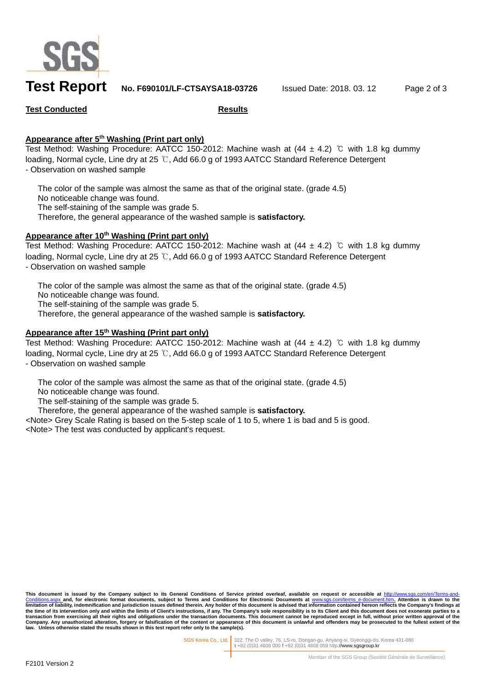

## **Test Report No. F690101/LF-CTSAYSA18-03726** Issued Date: 2018. 03. 12 Page 2 of 3

### **Test Conducted Results**

### **Appearance after 5th Washing (Print part only)**

Test Method: Washing Procedure: AATCC 150-2012: Machine wash at  $(44 \pm 4.2)$  °C with 1.8 kg dummy loading, Normal cycle, Line dry at 25 ℃, Add 66.0 g of 1993 AATCC Standard Reference Detergent - Observation on washed sample

 The color of the sample was almost the same as that of the original state. (grade 4.5) No noticeable change was found. The self-staining of the sample was grade 5. Therefore, the general appearance of the washed sample is **satisfactory.**

### Appearance after 10<sup>th</sup> Washing (Print part only)

Test Method: Washing Procedure: AATCC 150-2012: Machine wash at  $(44 \pm 4.2)$  °C with 1.8 kg dummy loading, Normal cycle, Line dry at 25 ℃, Add 66.0 g of 1993 AATCC Standard Reference Detergent - Observation on washed sample

 The color of the sample was almost the same as that of the original state. (grade 4.5) No noticeable change was found. The self-staining of the sample was grade 5. Therefore, the general appearance of the washed sample is **satisfactory.**

### **Appearance after 15th Washing (Print part only)**

Test Method: Washing Procedure: AATCC 150-2012: Machine wash at (44 ± 4.2) ℃ with 1.8 kg dummy loading, Normal cycle, Line dry at 25 ℃, Add 66.0 g of 1993 AATCC Standard Reference Detergent - Observation on washed sample

The color of the sample was almost the same as that of the original state. (grade 4.5)

No noticeable change was found.

The self-staining of the sample was grade 5.

Therefore, the general appearance of the washed sample is **satisfactory.**

<Note> Grey Scale Rating is based on the 5-step scale of 1 to 5, where 1 is bad and 5 is good. <Note> The test was conducted by applicant's request.

This document is issued by the Company subject to its General Conditions of Service printed overleaf, available on request or accessible at <u>http://www.sgs.com/en/Terms-and-</u><br><u>Conditions.aspx a</u>nd, for electronic format do limitation of liability, indemnification and jurisdiction issues defined therein. Any holder of this document is advised that information contained hereon reflects the Company's findings at<br>the time of its intervention onl **law. Unless otherwise stated the results shown in this test report refer only to the sample(s).** 

SGS Korea Co., Ltd. 322, The O valley, 76, LS-ro, Dongan-gu, Anyang-si, Gyeonggi-do, Korea 431-080 **t** +82 (0)31 4608 000 **f** +82 (0)31 4608 059 http://www.sgsgroup.kr